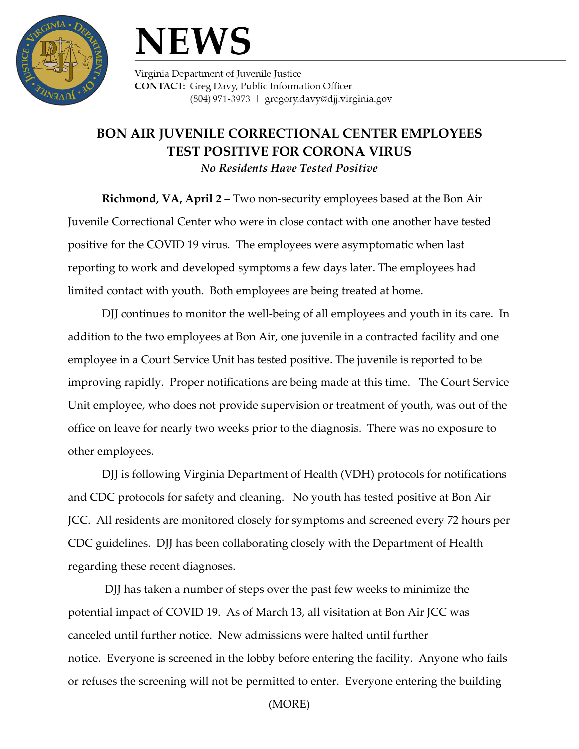

## **NEWS**

Virginia Department of Juvenile Justice **CONTACT:** Greg Davy, Public Information Officer (804) 971-3973 | gregory.davy@djj.virginia.gov

## **BON AIR JUVENILE CORRECTIONAL CENTER EMPLOYEES TEST POSITIVE FOR CORONA VIRUS**

*No Residents Have Tested Positive*

**Richmond, VA, April 2 –** Two non-security employees based at the Bon Air Juvenile Correctional Center who were in close contact with one another have tested positive for the COVID 19 virus. The employees were asymptomatic when last reporting to work and developed symptoms a few days later. The employees had limited contact with youth. Both employees are being treated at home.

DJJ continues to monitor the well-being of all employees and youth in its care. In addition to the two employees at Bon Air, one juvenile in a contracted facility and one employee in a Court Service Unit has tested positive. The juvenile is reported to be improving rapidly. Proper notifications are being made at this time. The Court Service Unit employee, who does not provide supervision or treatment of youth, was out of the office on leave for nearly two weeks prior to the diagnosis. There was no exposure to other employees.

DJJ is following Virginia Department of Health (VDH) protocols for notifications and CDC protocols for safety and cleaning. No youth has tested positive at Bon Air JCC. All residents are monitored closely for symptoms and screened every 72 hours per CDC guidelines. DJJ has been collaborating closely with the Department of Health regarding these recent diagnoses.

DJJ has taken a number of steps over the past few weeks to minimize the potential impact of COVID 19. As of March 13, all visitation at Bon Air JCC was canceled until further notice. New admissions were halted until further notice. Everyone is screened in the lobby before entering the facility. Anyone who fails or refuses the screening will not be permitted to enter. Everyone entering the building

(MORE)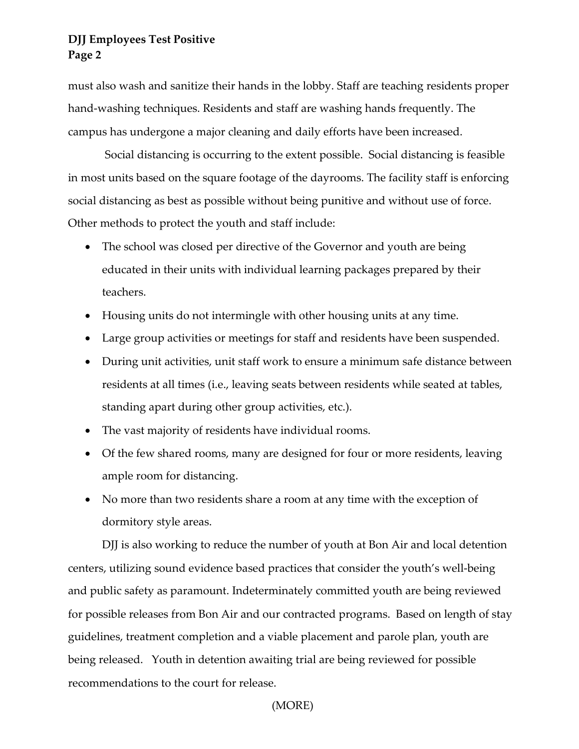## **DJJ Employees Test Positive Page 2**

must also wash and sanitize their hands in the lobby. Staff are teaching residents proper hand-washing techniques. Residents and staff are washing hands frequently. The campus has undergone a major cleaning and daily efforts have been increased.

Social distancing is occurring to the extent possible. Social distancing is feasible in most units based on the square footage of the dayrooms. The facility staff is enforcing social distancing as best as possible without being punitive and without use of force. Other methods to protect the youth and staff include:

- The school was closed per directive of the Governor and youth are being educated in their units with individual learning packages prepared by their teachers.
- Housing units do not intermingle with other housing units at any time.
- Large group activities or meetings for staff and residents have been suspended.
- During unit activities, unit staff work to ensure a minimum safe distance between residents at all times (i.e., leaving seats between residents while seated at tables, standing apart during other group activities, etc.).
- The vast majority of residents have individual rooms.
- Of the few shared rooms, many are designed for four or more residents, leaving ample room for distancing.
- No more than two residents share a room at any time with the exception of dormitory style areas.

DJJ is also working to reduce the number of youth at Bon Air and local detention centers, utilizing sound evidence based practices that consider the youth's well-being and public safety as paramount. Indeterminately committed youth are being reviewed for possible releases from Bon Air and our contracted programs. Based on length of stay guidelines, treatment completion and a viable placement and parole plan, youth are being released. Youth in detention awaiting trial are being reviewed for possible recommendations to the court for release.

(MORE)